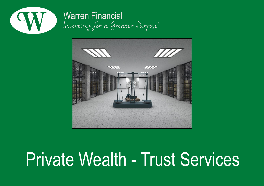

# **Warren Financial** Investing for a Greater Purpose®



# Private Wealth - Trust Services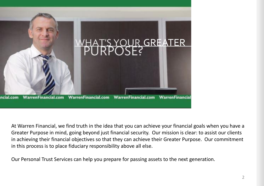

At Warren Financial, we find truth in the idea that you can achieve your financial goals when you have a Greater Purpose in mind, going beyond just financial security. Our mission is clear: to assist our clients in achieving their financial objectives so that they can achieve their Greater Purpose. Our commitment in this process is to place fiduciary responsibility above all else.

Our Personal Trust Services can help you prepare for passing assets to the next generation.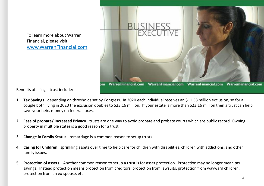To learn more about Warren Financial, please visit www.WarrenFinancial.com



Benefits of using a trust include:

- **1. Tax Savings**…depending on thresholds set by Congress. In 2020 each individual receives an \$11.58 million exclusion, so for a couple both living in 2020 the exclusion doubles to \$23.16 million. If your estate is more than \$23.16 million then a trust can help save your heirs money on federal taxes.
- **2. Ease of probate/ Increased Privacy**...trusts are one way to avoid probate and probate courts which are public record. Owning property in multiple states is a good reason for a trust.
- **3. Change in Family Status**…remarriage is a common reason to setup trusts.
- **4. Caring for Children**…sprinkling assets over time to help care for children with disabilities, children with addictions, and other family issues.
- **5. Protection of assets**… Another common reason to setup a trust is for asset protection. Protection may no longer mean tax savings. Instead protection means protection from creditors, protection from lawsuits, protection from wayward children, protection from an ex-spouse, etc.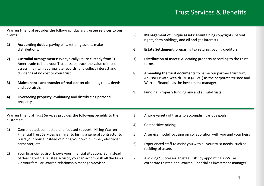## Trust Services & Benefits

Warren Financial provides the following fiduciary trustee services to our clients:

- **1) Accounting duties**: paying bills, retitling assets, make distributions.
- **2) Custodial arrangements**: We typically utilize custody from TD Ameritrade to hold your Trust assets, track the value of those assets, maintain appropriate records, and collect interest and dividends at no cost to your trust.
- **3) Maintenance and transfer of real estate:** obtaining titles, deeds, and appraisals
- **4) Overseeing property**: evaluating and distributing personal property

Warren Financial Trust Services provides the following benefits to the customer:

- 1) Consolidated, connected and focused support. Hiring Warren Financial Trust Services is similar to hiring a general contractor to build your house instead of hiring your own plumber, electrician, carpenter, etc.
- 2) Your financial advisor knows your financial situation. So, instead of dealing with a Trustee advisor, you can accomplish all the tasks via your familiar Warren relationship manager/advisor.
- **5) Management of unique assets:** Maintaining copyrights, patent rights, farm holdings, and oil and gas interests
- **6) Estate Settlement**: preparing tax returns, paying creditors
- **7) Distribution of assets**: Allocating property according to the trust terms
- **8) Amending the trust documents** to name our partner trust firm, Advisor Private Wealth Trust (APWT) as the corporate trustee and Warren Financial as the investment manager.
- **9) Funding:** Properly funding any and all sub-trusts.

- 3) A wide variety of trusts to accomplish various goals
- 4) Competitive pricing
- 5) A service model focusing on collaboration with you and your heirs
- 6) Experienced staff to assist you with all your trust needs, such as retitling of assets
- 7) Avoiding "Successor Trustee Risk" by appointing APWT as corporate trustee and Warren Financial as investment manager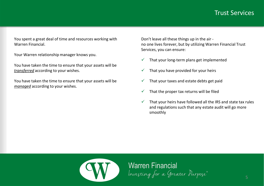#### Trust Services

You spent a great deal of time and resources working with Warren Financial.

Your Warren relationship manager knows you.

You have taken the time to ensure that your assets will be *transferred* according to your wishes.

You have taken the time to ensure that your assets will be *managed* according to your wishes.

Don't leave all these things up in the air no one lives forever, but by utilizing Warren Financial Trust Services, you can ensure:

- $\checkmark$  That your long-term plans get implemented
- $\checkmark$  That you have provided for your heirs
- $\checkmark$  That your taxes and estate debts get paid
- $\checkmark$  That the proper tax returns will be filed
- $\checkmark$  That your heirs have followed all the IRS and state tax rules and regulations such that any estate audit will go more smoothly



Warren Financial<br>Investing for a Greater Purpose®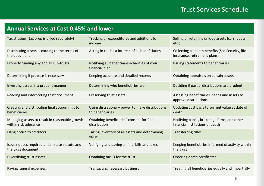# Trust Services Schedule

## **Annual Services at Cost 0.45% and lower**

| Tax strategy (tax prep is billed separately)                            | Tracking all expenditures and additions to<br>income                | Selling or retaining unique assets (cars, boats,<br>etc.)                         |  |
|-------------------------------------------------------------------------|---------------------------------------------------------------------|-----------------------------------------------------------------------------------|--|
| Distributing assets according to the terms of<br>the document           | Acting in the best interest of all beneficiaries                    | Collecting all death benefits (Soc Security, life<br>insurance, retirement plans) |  |
| Properly funding any and all sub-trusts                                 | Notifying all beneficiaries/charities of your<br>financial plan     | Issuing statements to beneficiaries                                               |  |
| Determining if probate is necessary                                     | Keeping accurate and detailed records                               | Obtaining appraisals on certain assets                                            |  |
| Investing assets in a prudent manner                                    | Determining who beneficiaries are                                   | Deciding if partial distributions are prudent                                     |  |
| Reading and interpreting trust document                                 | Preserving trust assets                                             | Assessing beneficiaries' needs and assets to<br>approve distributions             |  |
| Creating and distributing final accountings to<br>beneficiaries         | Using discretionary power to make distributions<br>to beneficiaries | Updating cost basis to current value at date of<br>death                          |  |
| Managing assets to result in reasonable growth<br>within risk tolerance | Obtaining beneficiaries' consent for final<br>distribution          | Notifying banks, brokerage firms, and other<br>financial institutions of death    |  |
| Filing notice to creditors                                              | Taking inventory of all assets and determining<br>value             | <b>Transferring titles</b>                                                        |  |
| Issue notices required under state statute and<br>the trust document    | Verifying and paying all final bills and taxes                      | Keeping beneficiaries informed of activity within<br>the trust                    |  |
| Diversifying trust assets                                               | Obtaining tax ID for the trust                                      | Ordering death certificates                                                       |  |
| Paying funeral expenses                                                 | Transacting necessary business                                      | Treating all beneficiaries equally and impartially                                |  |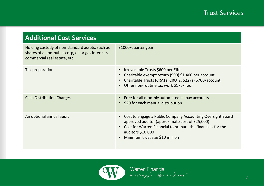| <b>Additional Cost Services</b>                                                                                                       |                                                                                                                                                                                                                                      |  |
|---------------------------------------------------------------------------------------------------------------------------------------|--------------------------------------------------------------------------------------------------------------------------------------------------------------------------------------------------------------------------------------|--|
| Holding custody of non-standard assets, such as<br>shares of a non-public corp, oil or gas interests,<br>commercial real estate, etc. | \$1000/quarter year                                                                                                                                                                                                                  |  |
| Tax preparation                                                                                                                       | Irrevocable Trusts \$600 per EIN<br>Charitable exempt return (990) \$1,400 per account<br>Charitable Trusts (CRATs, CRUTs, 5227s) \$700/account<br>Other non-routine tax work \$175/hour                                             |  |
| <b>Cash Distribution Charges</b>                                                                                                      | Free for all monthly automated billpay accounts<br>\$20 for each manual distribution                                                                                                                                                 |  |
| An optional annual audit                                                                                                              | Cost to engage a Public Company Accounting Oversight Board<br>approved auditor (approximate cost of \$25,000)<br>Cost for Warren Financial to prepare the financials for the<br>auditors \$10,000<br>Minimum trust size \$10 million |  |